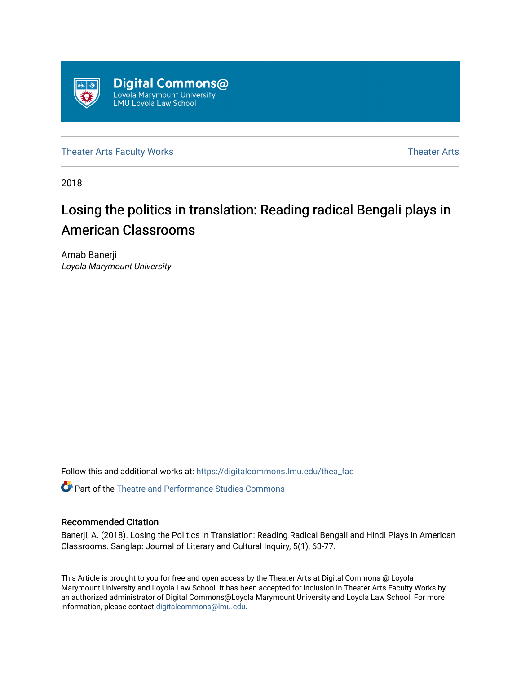

[Theater Arts Faculty Works](https://digitalcommons.lmu.edu/thea_fac) [Theater Arts](https://digitalcommons.lmu.edu/thea) Theater Arts

2018

# Losing the politics in translation: Reading radical Bengali plays in American Classrooms

Arnab Banerji Loyola Marymount University

Follow this and additional works at: [https://digitalcommons.lmu.edu/thea\\_fac](https://digitalcommons.lmu.edu/thea_fac?utm_source=digitalcommons.lmu.edu%2Fthea_fac%2F6&utm_medium=PDF&utm_campaign=PDFCoverPages) 

**C** Part of the Theatre and Performance Studies Commons

# Recommended Citation

Banerji, A. (2018). Losing the Politics in Translation: Reading Radical Bengali and Hindi Plays in American Classrooms. Sanglap: Journal of Literary and Cultural Inquiry, 5(1), 63-77.

This Article is brought to you for free and open access by the Theater Arts at Digital Commons @ Loyola Marymount University and Loyola Law School. It has been accepted for inclusion in Theater Arts Faculty Works by an authorized administrator of Digital Commons@Loyola Marymount University and Loyola Law School. For more information, please contact [digitalcommons@lmu.edu.](mailto:digitalcommons@lmu.edu)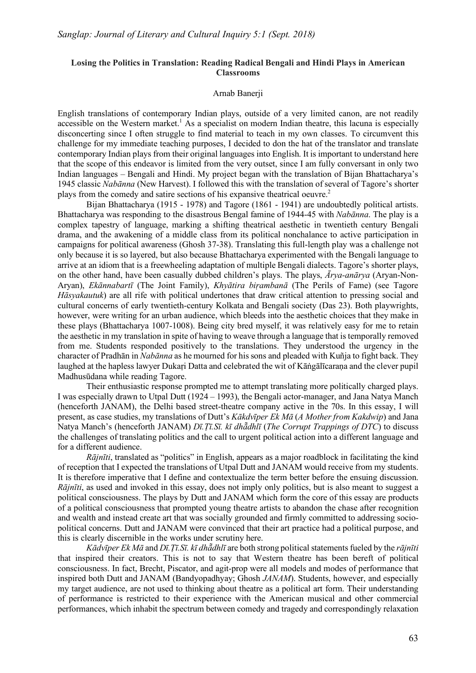#### **Losing the Politics in Translation: Reading Radical Bengali and Hindi Plays in American Classrooms**

#### Arnab Banerii

English translations of contemporary Indian plays, outside of a very limited canon, are not readily accessible on the Western market.<sup>1</sup> As a specialist on modern Indian theatre, this lacuna is especially disconcerting since I often struggle to find material to teach in my own classes. To circumvent this challenge for my immediate teaching purposes, I decided to don the hat of the translator and translate contemporary Indian plays from their original languages into English. It is important to understand here that the scope of this endeavor is limited from the very outset, since I am fully conversant in only two Indian languages – Bengali and Hindi. My project began with the translation of Bijan Bhattacharya's 1945 classic *Nabānna* (New Harvest). I followed this with the translation of several of Tagore's shorter plays from the comedy and satire sections of his expansive theatrical oeuvre.2

Bijan Bhattacharya (1915 - 1978) and Tagore (1861 - 1941) are undoubtedly political artists. Bhattacharya was responding to the disastrous Bengal famine of 1944-45 with *Nabānna*. The play is a complex tapestry of language, marking a shifting theatrical aesthetic in twentieth century Bengali drama, and the awakening of a middle class from its political nonchalance to active participation in campaigns for political awareness (Ghosh 37-38). Translating this full-length play was a challenge not only because it is so layered, but also because Bhattacharya experimented with the Bengali language to arrive at an idiom that is a freewheeling adaptation of multiple Bengali dialects. Tagore's shorter plays, on the other hand, have been casually dubbed children's plays. The plays, *Ārya-anārya* (Aryan-Non-Aryan), *Ekānnabartī* (The Joint Family), *Khyātira biṛambanā* (The Perils of Fame) (see Tagore *Hāsyakautuk*) are all rife with political undertones that draw critical attention to pressing social and cultural concerns of early twentieth-century Kolkata and Bengali society (Das 23). Both playwrights, however, were writing for an urban audience, which bleeds into the aesthetic choices that they make in these plays (Bhattacharya 1007-1008). Being city bred myself, it was relatively easy for me to retain the aesthetic in my translation in spite of having to weave through a language that is temporally removed from me. Students responded positively to the translations. They understood the urgency in the character of Pradhān in *Nabānna* as he mourned for his sons and pleaded with Kuñja to fight back. They laughed at the hapless lawyer Dukari Datta and celebrated the wit of Kāṅgālīcarana and the clever pupil Madhusūdana while reading Tagore.

Their enthusiastic response prompted me to attempt translating more politically charged plays. I was especially drawn to Utpal Dutt (1924 – 1993), the Bengali actor-manager, and Jana Natya Manch (henceforth JANAM), the Delhi based street-theatre company active in the 70s. In this essay, I will present, as case studies, my translations of Dutt's *Kākdvīper Ek Mā* (*A Mother from Kakdwip*) and Jana Natya Manch's (henceforth JANAM) *Dī.Ṭī.Sī. kī dhā̃dhlī* (*The Corrupt Trappings of DTC*) to discuss the challenges of translating politics and the call to urgent political action into a different language and for a different audience.

*Rājnīti*, translated as "politics" in English, appears as a major roadblock in facilitating the kind of reception that I expected the translations of Utpal Dutt and JANAM would receive from my students. It is therefore imperative that I define and contextualize the term better before the ensuing discussion. *Rājnīti*, as used and invoked in this essay, does not imply only politics, but is also meant to suggest a political consciousness. The plays by Dutt and JANAM which form the core of this essay are products of a political consciousness that prompted young theatre artists to abandon the chase after recognition and wealth and instead create art that was socially grounded and firmly committed to addressing sociopolitical concerns. Dutt and JANAM were convinced that their art practice had a political purpose, and this is clearly discernible in the works under scrutiny here.

Kādvīper Ek Mā and Dī. Tī. Sī, kī dhādhlī are both strong political statements fueled by the rājnīti that inspired their creators. This is not to say that Western theatre has been bereft of political consciousness. In fact, Brecht, Piscator, and agit-prop were all models and modes of performance that inspired both Dutt and JANAM (Bandyopadhyay; Ghosh *JANAM*). Students, however, and especially my target audience, are not used to thinking about theatre as a political art form. Their understanding of performance is restricted to their experience with the American musical and other commercial performances, which inhabit the spectrum between comedy and tragedy and correspondingly relaxation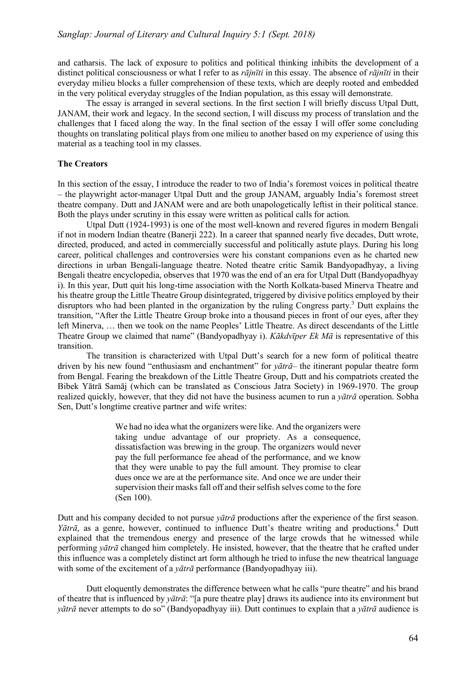and catharsis. The lack of exposure to politics and political thinking inhibits the development of a distinct political consciousness or what I refer to as *rājnīti* in this essay. The absence of *rājnīti* in their everyday milieu blocks a fuller comprehension of these texts, which are deeply rooted and embedded in the very political everyday struggles of the Indian population, as this essay will demonstrate.

The essay is arranged in several sections. In the first section I will briefly discuss Utpal Dutt, JANAM, their work and legacy. In the second section, I will discuss my process of translation and the challenges that I faced along the way. In the final section of the essay I will offer some concluding thoughts on translating political plays from one milieu to another based on my experience of using this material as a teaching tool in my classes.

# **The Creators**

In this section of the essay, I introduce the reader to two of India's foremost voices in political theatre – the playwright actor-manager Utpal Dutt and the group JANAM, arguably India's foremost street theatre company. Dutt and JANAM were and are both unapologetically leftist in their political stance. Both the plays under scrutiny in this essay were written as political calls for action.

Utpal Dutt (1924-1993) is one of the most well-known and revered figures in modern Bengali if not in modern Indian theatre (Banerji 222). In a career that spanned nearly five decades, Dutt wrote, directed, produced, and acted in commercially successful and politically astute plays. During his long career, political challenges and controversies were his constant companions even as he charted new directions in urban Bengali-language theatre. Noted theatre critic Samik Bandyopadhyay, a living Bengali theatre encyclopedia, observes that 1970 was the end of an era for Utpal Dutt (Bandyopadhyay i). In this year, Dutt quit his long-time association with the North Kolkata-based Minerva Theatre and his theatre group the Little Theatre Group disintegrated, triggered by divisive politics employed by their disruptors who had been planted in the organization by the ruling Congress party.<sup>3</sup> Dutt explains the transition, "After the Little Theatre Group broke into a thousand pieces in front of our eyes, after they left Minerva, … then we took on the name Peoples' Little Theatre. As direct descendants of the Little Theatre Group we claimed that name" (Bandyopadhyay i). *Kākdvīper Ek Mā* is representative of this transition.

The transition is characterized with Utpal Dutt's search for a new form of political theatre driven by his new found "enthusiasm and enchantment" for *yātrā*– the itinerant popular theatre form from Bengal. Fearing the breakdown of the Little Theatre Group, Dutt and his compatriots created the Bibek Yātrā Samāj (which can be translated as Conscious Jatra Society) in 1969-1970. The group realized quickly, however, that they did not have the business acumen to run a *yātrā* operation. Sobha Sen, Dutt's longtime creative partner and wife writes:

> We had no idea what the organizers were like. And the organizers were taking undue advantage of our propriety. As a consequence, dissatisfaction was brewing in the group. The organizers would never pay the full performance fee ahead of the performance, and we know that they were unable to pay the full amount. They promise to clear dues once we are at the performance site. And once we are under their supervision their masks fall off and their selfish selves come to the fore (Sen 100).

Dutt and his company decided to not pursue *yātrā* productions after the experience of the first season. *Yātrā*, as a genre, however, continued to influence Dutt's theatre writing and productions.4 Dutt explained that the tremendous energy and presence of the large crowds that he witnessed while performing *yātrā* changed him completely. He insisted, however, that the theatre that he crafted under this influence was a completely distinct art form although he tried to infuse the new theatrical language with some of the excitement of a *yātrā* performance (Bandyopadhyay iii).

Dutt eloquently demonstrates the difference between what he calls "pure theatre" and his brand of theatre that is influenced by *yātrā*: "[a pure theatre play] draws its audience into its environment but *yātrā* never attempts to do so" (Bandyopadhyay iii). Dutt continues to explain that a *yātrā* audience is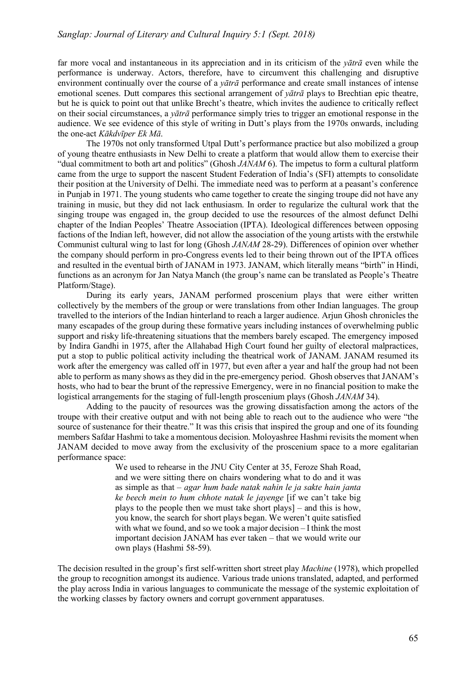far more vocal and instantaneous in its appreciation and in its criticism of the *yātrā* even while the performance is underway. Actors, therefore, have to circumvent this challenging and disruptive environment continually over the course of a *yātrā* performance and create small instances of intense emotional scenes. Dutt compares this sectional arrangement of *yātrā* plays to Brechtian epic theatre, but he is quick to point out that unlike Brecht's theatre, which invites the audience to critically reflect on their social circumstances, a *yātrā* performance simply tries to trigger an emotional response in the audience. We see evidence of this style of writing in Dutt's plays from the 1970s onwards, including the one-act *Kākdvīper Ek Mā*.

The 1970s not only transformed Utpal Dutt's performance practice but also mobilized a group of young theatre enthusiasts in New Delhi to create a platform that would allow them to exercise their "dual commitment to both art and politics" (Ghosh *JANAM* 6). The impetus to form a cultural platform came from the urge to support the nascent Student Federation of India's (SFI) attempts to consolidate their position at the University of Delhi. The immediate need was to perform at a peasant's conference in Punjab in 1971. The young students who came together to create the singing troupe did not have any training in music, but they did not lack enthusiasm. In order to regularize the cultural work that the singing troupe was engaged in, the group decided to use the resources of the almost defunct Delhi chapter of the Indian Peoples' Theatre Association (IPTA). Ideological differences between opposing factions of the Indian left, however, did not allow the association of the young artists with the erstwhile Communist cultural wing to last for long (Ghosh *JANAM* 28-29). Differences of opinion over whether the company should perform in pro-Congress events led to their being thrown out of the IPTA offices and resulted in the eventual birth of JANAM in 1973. JANAM, which literally means "birth" in Hindi, functions as an acronym for Jan Natya Manch (the group's name can be translated as People's Theatre Platform/Stage).

During its early years, JANAM performed proscenium plays that were either written collectively by the members of the group or were translations from other Indian languages. The group travelled to the interiors of the Indian hinterland to reach a larger audience. Arjun Ghosh chronicles the many escapades of the group during these formative years including instances of overwhelming public support and risky life-threatening situations that the members barely escaped. The emergency imposed by Indira Gandhi in 1975, after the Allahabad High Court found her guilty of electoral malpractices, put a stop to public political activity including the theatrical work of JANAM. JANAM resumed its work after the emergency was called off in 1977, but even after a year and half the group had not been able to perform as many shows as they did in the pre-emergency period. Ghosh observes that JANAM's hosts, who had to bear the brunt of the repressive Emergency, were in no financial position to make the logistical arrangements for the staging of full-length proscenium plays (Ghosh *JANAM* 34).

Adding to the paucity of resources was the growing dissatisfaction among the actors of the troupe with their creative output and with not being able to reach out to the audience who were "the source of sustenance for their theatre." It was this crisis that inspired the group and one of its founding members Safdar Hashmi to take a momentous decision. Moloyashree Hashmi revisits the moment when JANAM decided to move away from the exclusivity of the proscenium space to a more egalitarian performance space:

> We used to rehearse in the JNU City Center at 35, Feroze Shah Road, and we were sitting there on chairs wondering what to do and it was as simple as that – *agar hum bade natak nahin le ja sakte hain janta ke beech mein to hum chhote natak le jayenge* [if we can't take big plays to the people then we must take short plays] – and this is how, you know, the search for short plays began. We weren't quite satisfied with what we found, and so we took a major decision – I think the most important decision JANAM has ever taken – that we would write our own plays (Hashmi 58-59).

The decision resulted in the group's first self-written short street play *Machine* (1978), which propelled the group to recognition amongst its audience. Various trade unions translated, adapted, and performed the play across India in various languages to communicate the message of the systemic exploitation of the working classes by factory owners and corrupt government apparatuses.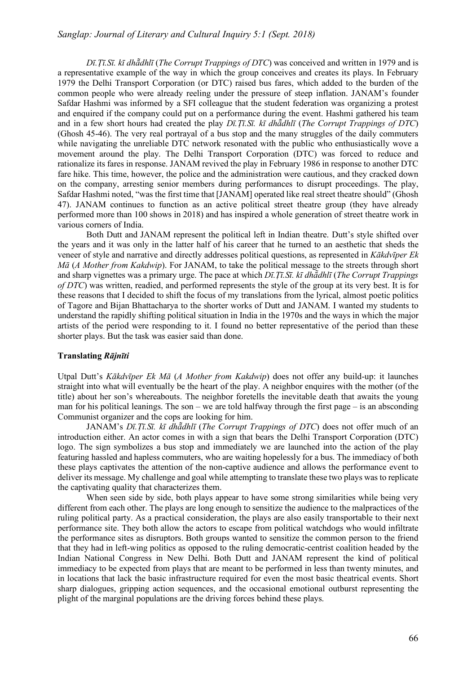*Dī.Ṭī.Sī. kī dhā̃dhlī* (*The Corrupt Trappings of DTC*) was conceived and written in 1979 and is a representative example of the way in which the group conceives and creates its plays. In February 1979 the Delhi Transport Corporation (or DTC) raised bus fares, which added to the burden of the common people who were already reeling under the pressure of steep inflation. JANAM's founder Safdar Hashmi was informed by a SFI colleague that the student federation was organizing a protest and enquired if the company could put on a performance during the event. Hashmi gathered his team and in a few short hours had created the play *Dī.Ṭī.Sī. kī dhā̃dhlī* (*The Corrupt Trappings of DTC*) (Ghosh 45-46). The very real portrayal of a bus stop and the many struggles of the daily commuters while navigating the unreliable DTC network resonated with the public who enthusiastically wove a movement around the play. The Delhi Transport Corporation (DTC) was forced to reduce and rationalize its fares in response. JANAM revived the play in February 1986 in response to another DTC fare hike. This time, however, the police and the administration were cautious, and they cracked down on the company, arresting senior members during performances to disrupt proceedings. The play, Safdar Hashmi noted, "was the first time that [JANAM] operated like real street theatre should" (Ghosh 47). JANAM continues to function as an active political street theatre group (they have already performed more than 100 shows in 2018) and has inspired a whole generation of street theatre work in various corners of India.

Both Dutt and JANAM represent the political left in Indian theatre. Dutt's style shifted over the years and it was only in the latter half of his career that he turned to an aesthetic that sheds the veneer of style and narrative and directly addresses political questions, as represented in *Kākdvīper Ek Mā* (*A Mother from Kakdwip*). For JANAM, to take the political message to the streets through short and sharp vignettes was a primary urge. The pace at which *Dī.Ṭī.Sī. kī dhā̃dhlī* (*The Corrupt Trappings of DTC*) was written, readied, and performed represents the style of the group at its very best. It is for these reasons that I decided to shift the focus of my translations from the lyrical, almost poetic politics of Tagore and Bijan Bhattacharya to the shorter works of Dutt and JANAM. I wanted my students to understand the rapidly shifting political situation in India in the 1970s and the ways in which the major artists of the period were responding to it. I found no better representative of the period than these shorter plays. But the task was easier said than done.

# **Translating** *Rājnīti*

Utpal Dutt's *Kākdvīper Ek Mā* (*A Mother from Kakdwip*) does not offer any build-up: it launches straight into what will eventually be the heart of the play. A neighbor enquires with the mother (of the title) about her son's whereabouts. The neighbor foretells the inevitable death that awaits the young man for his political leanings. The son – we are told halfway through the first page – is an absconding Communist organizer and the cops are looking for him.

JANAM's *Dī.Ṭī.Sī. kī dhā̃dhlī* (*The Corrupt Trappings of DTC*) does not offer much of an introduction either. An actor comes in with a sign that bears the Delhi Transport Corporation (DTC) logo. The sign symbolizes a bus stop and immediately we are launched into the action of the play featuring hassled and hapless commuters, who are waiting hopelessly for a bus. The immediacy of both these plays captivates the attention of the non-captive audience and allows the performance event to deliver its message. My challenge and goal while attempting to translate these two plays was to replicate the captivating quality that characterizes them.

When seen side by side, both plays appear to have some strong similarities while being very different from each other. The plays are long enough to sensitize the audience to the malpractices of the ruling political party. As a practical consideration, the plays are also easily transportable to their next performance site. They both allow the actors to escape from political watchdogs who would infiltrate the performance sites as disruptors. Both groups wanted to sensitize the common person to the friend that they had in left-wing politics as opposed to the ruling democratic-centrist coalition headed by the Indian National Congress in New Delhi. Both Dutt and JANAM represent the kind of political immediacy to be expected from plays that are meant to be performed in less than twenty minutes, and in locations that lack the basic infrastructure required for even the most basic theatrical events. Short sharp dialogues, gripping action sequences, and the occasional emotional outburst representing the plight of the marginal populations are the driving forces behind these plays.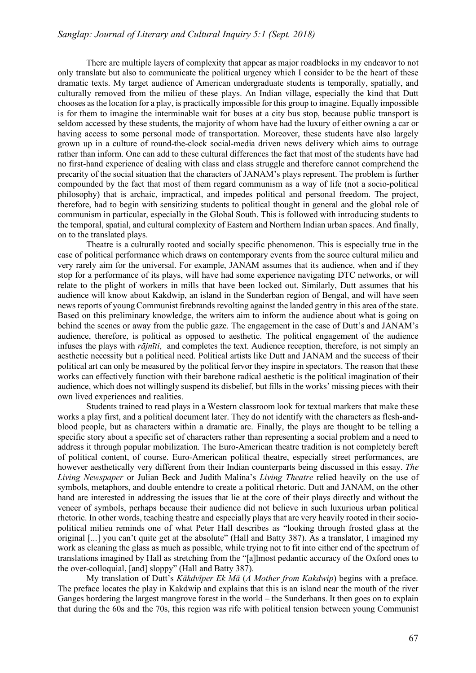There are multiple layers of complexity that appear as major roadblocks in my endeavor to not only translate but also to communicate the political urgency which I consider to be the heart of these dramatic texts. My target audience of American undergraduate students is temporally, spatially, and culturally removed from the milieu of these plays. An Indian village, especially the kind that Dutt chooses as the location for a play, is practically impossible for this group to imagine. Equally impossible is for them to imagine the interminable wait for buses at a city bus stop, because public transport is seldom accessed by these students, the majority of whom have had the luxury of either owning a car or having access to some personal mode of transportation. Moreover, these students have also largely grown up in a culture of round-the-clock social-media driven news delivery which aims to outrage rather than inform. One can add to these cultural differences the fact that most of the students have had no first-hand experience of dealing with class and class struggle and therefore cannot comprehend the precarity of the social situation that the characters of JANAM's plays represent. The problem is further compounded by the fact that most of them regard communism as a way of life (not a socio-political philosophy) that is archaic, impractical, and impedes political and personal freedom. The project, therefore, had to begin with sensitizing students to political thought in general and the global role of communism in particular, especially in the Global South. This is followed with introducing students to the temporal, spatial, and cultural complexity of Eastern and Northern Indian urban spaces. And finally, on to the translated plays.

Theatre is a culturally rooted and socially specific phenomenon. This is especially true in the case of political performance which draws on contemporary events from the source cultural milieu and very rarely aim for the universal. For example, JANAM assumes that its audience, when and if they stop for a performance of its plays, will have had some experience navigating DTC networks, or will relate to the plight of workers in mills that have been locked out. Similarly, Dutt assumes that his audience will know about Kakdwip, an island in the Sunderban region of Bengal, and will have seen news reports of young Communist firebrands revolting against the landed gentry in this area of the state. Based on this preliminary knowledge, the writers aim to inform the audience about what is going on behind the scenes or away from the public gaze. The engagement in the case of Dutt's and JANAM's audience, therefore, is political as opposed to aesthetic. The political engagement of the audience infuses the plays with *rājnīti*, and completes the text. Audience reception, therefore, is not simply an aesthetic necessity but a political need. Political artists like Dutt and JANAM and the success of their political art can only be measured by the political fervor they inspire in spectators. The reason that these works can effectively function with their barebone radical aesthetic is the political imagination of their audience, which does not willingly suspend its disbelief, but fills in the works' missing pieces with their own lived experiences and realities.

Students trained to read plays in a Western classroom look for textual markers that make these works a play first, and a political document later. They do not identify with the characters as flesh-andblood people, but as characters within a dramatic arc. Finally, the plays are thought to be telling a specific story about a specific set of characters rather than representing a social problem and a need to address it through popular mobilization. The Euro-American theatre tradition is not completely bereft of political content, of course. Euro-American political theatre, especially street performances, are however aesthetically very different from their Indian counterparts being discussed in this essay. *The Living Newspaper* or Julian Beck and Judith Malina's *Living Theatre* relied heavily on the use of symbols, metaphors, and double entendre to create a political rhetoric. Dutt and JANAM, on the other hand are interested in addressing the issues that lie at the core of their plays directly and without the veneer of symbols, perhaps because their audience did not believe in such luxurious urban political rhetoric. In other words, teaching theatre and especially plays that are very heavily rooted in their sociopolitical milieu reminds one of what Peter Hall describes as "looking through frosted glass at the original [...] you can't quite get at the absolute" (Hall and Batty 387). As a translator, I imagined my work as cleaning the glass as much as possible, while trying not to fit into either end of the spectrum of translations imagined by Hall as stretching from the "[a]lmost pedantic accuracy of the Oxford ones to the over-colloquial, [and] sloppy" (Hall and Batty 387).

My translation of Dutt's *Kākdvīper Ek Mā* (*A Mother from Kakdwip*) begins with a preface. The preface locates the play in Kakdwip and explains that this is an island near the mouth of the river Ganges bordering the largest mangrove forest in the world – the Sunderbans. It then goes on to explain that during the 60s and the 70s, this region was rife with political tension between young Communist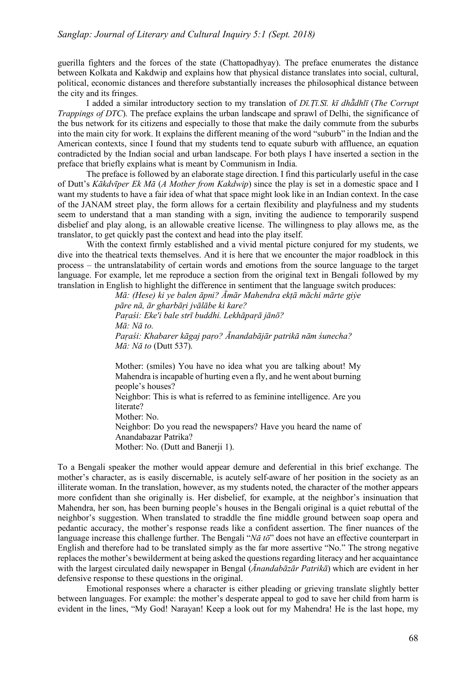guerilla fighters and the forces of the state (Chattopadhyay). The preface enumerates the distance between Kolkata and Kakdwip and explains how that physical distance translates into social, cultural, political, economic distances and therefore substantially increases the philosophical distance between the city and its fringes.

I added a similar introductory section to my translation of *Dī.Ṭī.Sī. kī dhā̃dhlī* (*The Corrupt Trappings of DTC*). The preface explains the urban landscape and sprawl of Delhi, the significance of the bus network for its citizens and especially to those that make the daily commute from the suburbs into the main city for work. It explains the different meaning of the word "suburb" in the Indian and the American contexts, since I found that my students tend to equate suburb with affluence, an equation contradicted by the Indian social and urban landscape. For both plays I have inserted a section in the preface that briefly explains what is meant by Communism in India.

The preface is followed by an elaborate stage direction. I find this particularly useful in the case of Dutt's *Kākdvīper Ek Mā* (*A Mother from Kakdwip*) since the play is set in a domestic space and I want my students to have a fair idea of what that space might look like in an Indian context. In the case of the JANAM street play, the form allows for a certain flexibility and playfulness and my students seem to understand that a man standing with a sign, inviting the audience to temporarily suspend disbelief and play along, is an allowable creative license. The willingness to play allows me, as the translator, to get quickly past the context and head into the play itself.

With the context firmly established and a vivid mental picture conjured for my students, we dive into the theatrical texts themselves. And it is here that we encounter the major roadblock in this process – the untranslatability of certain words and emotions from the source language to the target language. For example, let me reproduce a section from the original text in Bengali followed by my translation in English to highlight the difference in sentiment that the language switch produces:

> *Mā: (Hese) ki ye balen āpni? Āmār Mahendra ekṭā māchi mārte giẏe pāre nā, ār gharbāṛi jvālābe ki kare? Paṛaśi: Eke'i bale strī buddhi. Lekhāpaṛā jānō?*  $M\bar{a}$ *:*  $N\bar{a}$  to. *Paṛaśi: Khabarer kāgaj paṛo? Ānandabājār patrikā nām śunecha? Mā: Nā to* (Dutt 537).

Mother: (smiles) You have no idea what you are talking about! My Mahendra is incapable of hurting even a fly, and he went about burning people's houses? Neighbor: This is what is referred to as feminine intelligence. Are you literate? Mother: No. Neighbor: Do you read the newspapers? Have you heard the name of Anandabazar Patrika? Mother: No. (Dutt and Banerji 1).

To a Bengali speaker the mother would appear demure and deferential in this brief exchange. The mother's character, as is easily discernable, is acutely self-aware of her position in the society as an illiterate woman. In the translation, however, as my students noted, the character of the mother appears more confident than she originally is. Her disbelief, for example, at the neighbor's insinuation that Mahendra, her son, has been burning people's houses in the Bengali original is a quiet rebuttal of the neighbor's suggestion. When translated to straddle the fine middle ground between soap opera and pedantic accuracy, the mother's response reads like a confident assertion. The finer nuances of the language increase this challenge further. The Bengali "*Nā tō*" does not have an effective counterpart in English and therefore had to be translated simply as the far more assertive "No." The strong negative replaces the mother's bewilderment at being asked the questions regarding literacy and her acquaintance with the largest circulated daily newspaper in Bengal (*Ānandabāzār Patrikā*) which are evident in her defensive response to these questions in the original.

Emotional responses where a character is either pleading or grieving translate slightly better between languages. For example: the mother's desperate appeal to god to save her child from harm is evident in the lines, "My God! Narayan! Keep a look out for my Mahendra! He is the last hope, my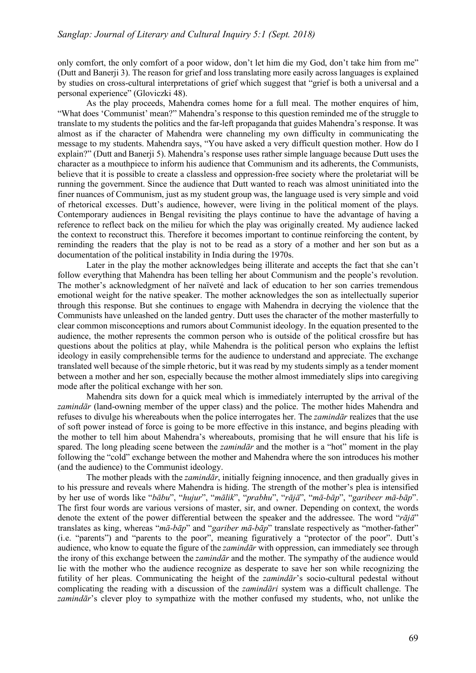only comfort, the only comfort of a poor widow, don't let him die my God, don't take him from me" (Dutt and Banerji 3). The reason for grief and loss translating more easily across languages is explained by studies on cross-cultural interpretations of grief which suggest that "grief is both a universal and a personal experience" (Gloviczki 48).

As the play proceeds. Mahendra comes home for a full meal. The mother enquires of him, "What does 'Communist' mean?" Mahendra's response to this question reminded me of the struggle to translate to my students the politics and the far-left propaganda that guides Mahendra's response. It was almost as if the character of Mahendra were channeling my own difficulty in communicating the message to my students. Mahendra says, "You have asked a very difficult question mother. How do I explain?" (Dutt and Banerji 5). Mahendra's response uses rather simple language because Dutt uses the character as a mouthpiece to inform his audience that Communism and its adherents, the Communists, believe that it is possible to create a classless and oppression-free society where the proletariat will be running the government. Since the audience that Dutt wanted to reach was almost uninitiated into the finer nuances of Communism, just as my student group was, the language used is very simple and void of rhetorical excesses. Dutt's audience, however, were living in the political moment of the plays. Contemporary audiences in Bengal revisiting the plays continue to have the advantage of having a reference to reflect back on the milieu for which the play was originally created. My audience lacked the context to reconstruct this. Therefore it becomes important to continue reinforcing the content, by reminding the readers that the play is not to be read as a story of a mother and her son but as a documentation of the political instability in India during the 1970s.

Later in the play the mother acknowledges being illiterate and accepts the fact that she can't follow everything that Mahendra has been telling her about Communism and the people's revolution. The mother's acknowledgment of her naïveté and lack of education to her son carries tremendous emotional weight for the native speaker. The mother acknowledges the son as intellectually superior through this response. But she continues to engage with Mahendra in decrying the violence that the Communists have unleashed on the landed gentry. Dutt uses the character of the mother masterfully to clear common misconceptions and rumors about Communist ideology. In the equation presented to the audience, the mother represents the common person who is outside of the political crossfire but has questions about the politics at play, while Mahendra is the political person who explains the leftist ideology in easily comprehensible terms for the audience to understand and appreciate. The exchange translated well because of the simple rhetoric, but it was read by my students simply as a tender moment between a mother and her son, especially because the mother almost immediately slips into caregiving mode after the political exchange with her son.

Mahendra sits down for a quick meal which is immediately interrupted by the arrival of the *zamindār* (land-owning member of the upper class) and the police. The mother hides Mahendra and refuses to divulge his whereabouts when the police interrogates her. The *zamindār* realizes that the use of soft power instead of force is going to be more effective in this instance, and begins pleading with the mother to tell him about Mahendra's whereabouts, promising that he will ensure that his life is spared. The long pleading scene between the *zamindār* and the mother is a "hot" moment in the play following the "cold" exchange between the mother and Mahendra where the son introduces his mother (and the audience) to the Communist ideology.

The mother pleads with the *zamindār*, initially feigning innocence, and then gradually gives in to his pressure and reveals where Mahendra is hiding. The strength of the mother's plea is intensified by her use of words like "bābu", "hujur", "mālik", "prabhu", "rājā", "mā-bāp", "garibeer mā-bāp". The first four words are various versions of master, sir, and owner. Depending on context, the words denote the extent of the power differential between the speaker and the addressee. The word "*rājā*" translates as king, whereas "*mā-bāp*" and "*gariber mā-bāp*" translate respectively as "mother-father" (i.e. "parents") and "parents to the poor", meaning figuratively a "protector of the poor". Dutt's audience, who know to equate the figure of the *zamindār* with oppression, can immediately see through the irony of this exchange between the *zamindār* and the mother. The sympathy of the audience would lie with the mother who the audience recognize as desperate to save her son while recognizing the futility of her pleas. Communicating the height of the *zamindār*'s socio-cultural pedestal without complicating the reading with a discussion of the *zamindāri* system was a difficult challenge. The *zamindār*'s clever ploy to sympathize with the mother confused my students, who, not unlike the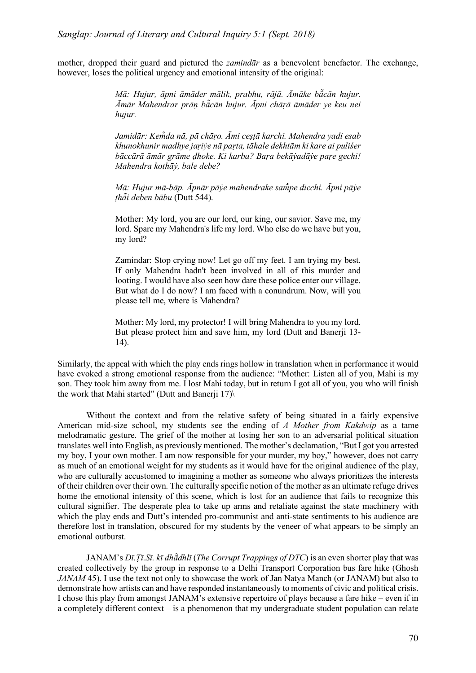mother, dropped their guard and pictured the *zamindār* as a benevolent benefactor. The exchange, however, loses the political urgency and emotional intensity of the original:

> Mā: Hujur, āpni āmāder mālik, prabhu, rājā. Āmāke bā̃cān hujur. *Āmār Mahendrar prāṇ bā̃cān hujur. Āpni chāṛā āmāder ye keu nei hujur.*

> *Jamidār: Kem̐da nā, pā chāṛo. Āmi ceṣṭā karchi. Mahendra yadi esab khunokhunir madhye jaṛiẏe nā paṛta, tāhale dekhtām ki kare ai puliśer*  bāccārā āmār grāme dhoke. Ki karba? Bara bekāyadāye pare gechi! *Mahendra kothāẏ, bale debe?*

> *Mā: Hujur mā-bāp. Āpnār pāẏe mahendrake sam̐pe dicchi. Āpni pāẏe ṭhā̃i deben bābu* (Dutt 544).

> Mother: My lord, you are our lord, our king, our savior. Save me, my lord. Spare my Mahendra's life my lord. Who else do we have but you, my lord?

> Zamindar: Stop crying now! Let go off my feet. I am trying my best. If only Mahendra hadn't been involved in all of this murder and looting. I would have also seen how dare these police enter our village. But what do I do now? I am faced with a conundrum. Now, will you please tell me, where is Mahendra?

> Mother: My lord, my protector! I will bring Mahendra to you my lord. But please protect him and save him, my lord (Dutt and Banerji 13- 14).

Similarly, the appeal with which the play ends rings hollow in translation when in performance it would have evoked a strong emotional response from the audience: "Mother: Listen all of you, Mahi is my son. They took him away from me. I lost Mahi today, but in return I got all of you, you who will finish the work that Mahi started" (Dutt and Banerji 17)\

Without the context and from the relative safety of being situated in a fairly expensive American mid-size school, my students see the ending of *A Mother from Kakdwip* as a tame melodramatic gesture. The grief of the mother at losing her son to an adversarial political situation translates well into English, as previously mentioned. The mother's declamation, "But I got you arrested my boy, I your own mother. I am now responsible for your murder, my boy," however, does not carry as much of an emotional weight for my students as it would have for the original audience of the play, who are culturally accustomed to imagining a mother as someone who always prioritizes the interests of their children over their own. The culturally specific notion of the mother as an ultimate refuge drives home the emotional intensity of this scene, which is lost for an audience that fails to recognize this cultural signifier. The desperate plea to take up arms and retaliate against the state machinery with which the play ends and Dutt's intended pro-communist and anti-state sentiments to his audience are therefore lost in translation, obscured for my students by the veneer of what appears to be simply an emotional outburst.

JANAM's *Dī.Ṭī.Sī. kī dhā̃dhlī* (*The Corrupt Trappings of DTC*) is an even shorter play that was created collectively by the group in response to a Delhi Transport Corporation bus fare hike (Ghosh *JANAM* 45). I use the text not only to showcase the work of Jan Natya Manch (or JANAM) but also to demonstrate how artists can and have responded instantaneously to moments of civic and political crisis. I chose this play from amongst JANAM's extensive repertoire of plays because a fare hike – even if in a completely different context – is a phenomenon that my undergraduate student population can relate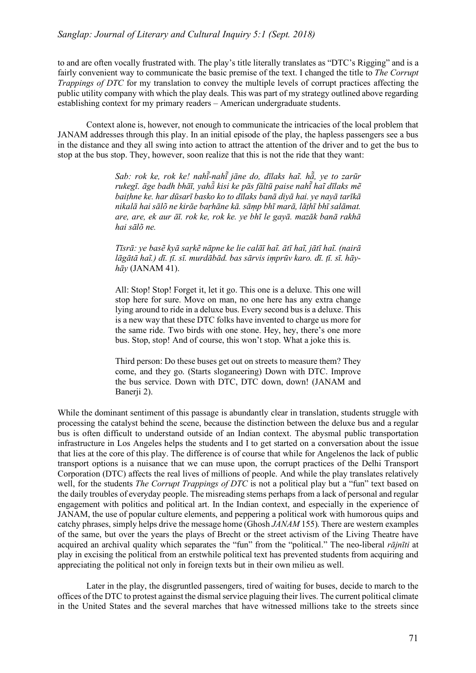to and are often vocally frustrated with. The play's title literally translates as "DTC's Rigging" and is a fairly convenient way to communicate the basic premise of the text. I changed the title to *The Corrupt Trappings of DTC* for my translation to convey the multiple levels of corrupt practices affecting the public utility company with which the play deals. This was part of my strategy outlined above regarding establishing context for my primary readers – American undergraduate students.

Context alone is, however, not enough to communicate the intricacies of the local problem that JANAM addresses through this play. In an initial episode of the play, the hapless passengers see a bus in the distance and they all swing into action to attract the attention of the driver and to get the bus to stop at the bus stop. They, however, soon realize that this is not the ride that they want:

> *Sab: rok ke, rok ke! nahī-̃nahī̃jāne do, dīlaks haĩ. hā̃, ye to zarūr*  rukegī, āge badh bhāī, yahā kisi ke pās fāltū paise nahī hai dīlaks mē *baiṭhne ke. har dūsarī basko ko to dīlaks banā diyā hai. ye nayā tarīkā* nikalā hai sālõ ne kirāe barhāne kā, sāmp bhī marā, lāthī bhī salāmat. *are, are, ek aur āī. rok ke, rok ke. ye bhī le gayā. mazāk banā rakhā hai sālõ ne.*

> Tīsrā: ye basẽ kyā sarkẽ nāpne ke lie calāī haĩ. ātī haĩ, jātī haĩ. (nairā lāgātā hai,) dī. tī. sī. murdābād. bas sārvis imprūv karo. dī. tī. sī. hāy*hāy* (JANAM 41).

> All: Stop! Stop! Forget it, let it go. This one is a deluxe. This one will stop here for sure. Move on man, no one here has any extra change lying around to ride in a deluxe bus. Every second bus is a deluxe. This is a new way that these DTC folks have invented to charge us more for the same ride. Two birds with one stone. Hey, hey, there's one more bus. Stop, stop! And of course, this won't stop. What a joke this is.

> Third person: Do these buses get out on streets to measure them? They come, and they go. (Starts sloganeering) Down with DTC. Improve the bus service. Down with DTC, DTC down, down! (JANAM and Banerii 2).

While the dominant sentiment of this passage is abundantly clear in translation, students struggle with processing the catalyst behind the scene, because the distinction between the deluxe bus and a regular bus is often difficult to understand outside of an Indian context. The abysmal public transportation infrastructure in Los Angeles helps the students and I to get started on a conversation about the issue that lies at the core of this play. The difference is of course that while for Angelenos the lack of public transport options is a nuisance that we can muse upon, the corrupt practices of the Delhi Transport Corporation (DTC) affects the real lives of millions of people. And while the play translates relatively well, for the students *The Corrupt Trappings of DTC* is not a political play but a "fun" text based on the daily troubles of everyday people. The misreading stems perhaps from a lack of personal and regular engagement with politics and political art. In the Indian context, and especially in the experience of JANAM, the use of popular culture elements, and peppering a political work with humorous quips and catchy phrases, simply helps drive the message home (Ghosh *JANAM* 155). There are western examples of the same, but over the years the plays of Brecht or the street activism of the Living Theatre have acquired an archival quality which separates the "fun" from the "political." The neo-liberal *rājnīti* at play in excising the political from an erstwhile political text has prevented students from acquiring and appreciating the political not only in foreign texts but in their own milieu as well.

Later in the play, the disgruntled passengers, tired of waiting for buses, decide to march to the offices of the DTC to protest against the dismal service plaguing their lives. The current political climate in the United States and the several marches that have witnessed millions take to the streets since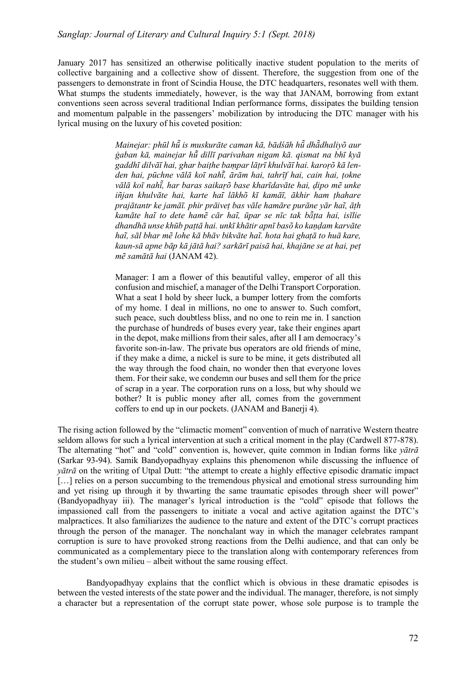January 2017 has sensitized an otherwise politically inactive student population to the merits of collective bargaining and a collective show of dissent. Therefore, the suggestion from one of the passengers to demonstrate in front of Scindia House, the DTC headquarters, resonates well with them. What stumps the students immediately, however, is the way that JANAM, borrowing from extant conventions seen across several traditional Indian performance forms, dissipates the building tension and momentum palpable in the passengers' mobilization by introducing the DTC manager with his lyrical musing on the luxury of his coveted position:

> *Mainejar: phūl hū̃is muskurāte caman kā, bādśāh hū̃dhā̃dhaliyõ aur ġaban kā, mainejar hū̃dillī parivahan nigam kā. qismat na bhī kyā gaddhī dilvāī hai, ghar baiṭhe baṃpar lāṭrī khulvāī hai. karoṛõ kā len*den hai, pūchne vālā koī nahī, ārām hai, tahrīf hai, cain hai, tokne vālā koī nahī, har baras saikarõ base kharīdavāte hai, dipo mē unke *iñjan khulvāte hai, karte haĩ lākhõ kī kamāī, ākhir ham ṭhahare prajātantr ke jamāī. phir prāiveṭ bas vāle hamāre purāne yār haĩ, āṭh kamāte haĩ to dete hamẽ cār haĩ, ūpar se nīc tak bā̃ṭta hai, isīlie dhandhā unse khūb paṭtā hai. unkī khātir apnī basõ ko kaṇḍam karvāte haĩ, sāl bhar mẽ lohe kā bhāv bikvāte haĩ. hota hai ghaṭā to huā kare, kaun-sā apne bāp kā jātā hai? sarkārī paisā hai, khajāne se at hai, peṭ mẽ samātā hai* (JANAM 42).

> Manager: I am a flower of this beautiful valley, emperor of all this confusion and mischief, a manager of the Delhi Transport Corporation. What a seat I hold by sheer luck, a bumper lottery from the comforts of my home. I deal in millions, no one to answer to. Such comfort, such peace, such doubtless bliss, and no one to rein me in. I sanction the purchase of hundreds of buses every year, take their engines apart in the depot, make millions from their sales, after all I am democracy's favorite son-in-law. The private bus operators are old friends of mine, if they make a dime, a nickel is sure to be mine, it gets distributed all the way through the food chain, no wonder then that everyone loves them. For their sake, we condemn our buses and sell them for the price of scrap in a year. The corporation runs on a loss, but why should we bother? It is public money after all, comes from the government coffers to end up in our pockets. (JANAM and Banerji 4).

The rising action followed by the "climactic moment" convention of much of narrative Western theatre seldom allows for such a lyrical intervention at such a critical moment in the play (Cardwell 877-878). The alternating "hot" and "cold" convention is, however, quite common in Indian forms like *yātrā* (Sarkar 93-94). Samik Bandyopadhyay explains this phenomenon while discussing the influence of *yātrā* on the writing of Utpal Dutt: "the attempt to create a highly effective episodic dramatic impact [...] relies on a person succumbing to the tremendous physical and emotional stress surrounding him and yet rising up through it by thwarting the same traumatic episodes through sheer will power" (Bandyopadhyay iii). The manager's lyrical introduction is the "cold" episode that follows the impassioned call from the passengers to initiate a vocal and active agitation against the DTC's malpractices. It also familiarizes the audience to the nature and extent of the DTC's corrupt practices through the person of the manager. The nonchalant way in which the manager celebrates rampant corruption is sure to have provoked strong reactions from the Delhi audience, and that can only be communicated as a complementary piece to the translation along with contemporary references from the student's own milieu – albeit without the same rousing effect.

Bandyopadhyay explains that the conflict which is obvious in these dramatic episodes is between the vested interests of the state power and the individual. The manager, therefore, is not simply a character but a representation of the corrupt state power, whose sole purpose is to trample the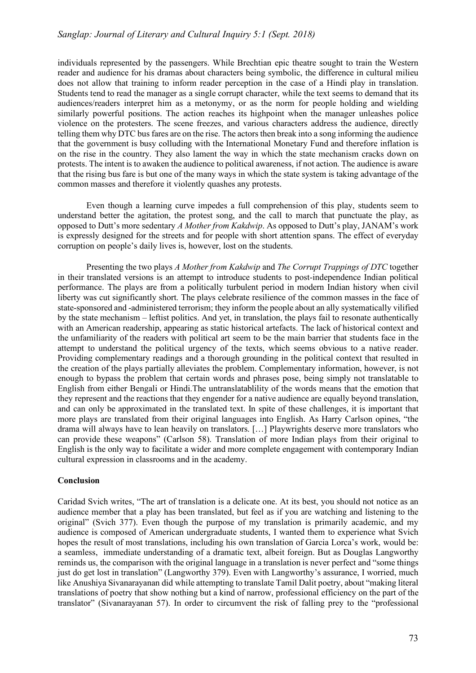individuals represented by the passengers. While Brechtian epic theatre sought to train the Western reader and audience for his dramas about characters being symbolic, the difference in cultural milieu does not allow that training to inform reader perception in the case of a Hindi play in translation. Students tend to read the manager as a single corrupt character, while the text seems to demand that its audiences/readers interpret him as a metonymy, or as the norm for people holding and wielding similarly powerful positions. The action reaches its highpoint when the manager unleashes police violence on the protesters. The scene freezes, and various characters address the audience, directly telling them why DTC bus fares are on the rise. The actors then break into a song informing the audience that the government is busy colluding with the International Monetary Fund and therefore inflation is on the rise in the country. They also lament the way in which the state mechanism cracks down on protests. The intent is to awaken the audience to political awareness, if not action. The audience is aware that the rising bus fare is but one of the many ways in which the state system is taking advantage of the common masses and therefore it violently quashes any protests.

Even though a learning curve impedes a full comprehension of this play, students seem to understand better the agitation, the protest song, and the call to march that punctuate the play, as opposed to Dutt's more sedentary *A Mother from Kakdwip*. As opposed to Dutt's play, JANAM's work is expressly designed for the streets and for people with short attention spans. The effect of everyday corruption on people's daily lives is, however, lost on the students.

Presenting the two plays *A Mother from Kakdwip* and *The Corrupt Trappings of DTC* together in their translated versions is an attempt to introduce students to post-independence Indian political performance. The plays are from a politically turbulent period in modern Indian history when civil liberty was cut significantly short. The plays celebrate resilience of the common masses in the face of state-sponsored and -administered terrorism; they inform the people about an ally systematically vilified by the state mechanism – leftist politics. And yet, in translation, the plays fail to resonate authentically with an American readership, appearing as static historical artefacts. The lack of historical context and the unfamiliarity of the readers with political art seem to be the main barrier that students face in the attempt to understand the political urgency of the texts, which seems obvious to a native reader. Providing complementary readings and a thorough grounding in the political context that resulted in the creation of the plays partially alleviates the problem. Complementary information, however, is not enough to bypass the problem that certain words and phrases pose, being simply not translatable to English from either Bengali or Hindi.The untranslatablility of the words means that the emotion that they represent and the reactions that they engender for a native audience are equally beyond translation, and can only be approximated in the translated text. In spite of these challenges, it is important that more plays are translated from their original languages into English. As Harry Carlson opines, "the drama will always have to lean heavily on translators. […] Playwrights deserve more translators who can provide these weapons" (Carlson 58). Translation of more Indian plays from their original to English is the only way to facilitate a wider and more complete engagement with contemporary Indian cultural expression in classrooms and in the academy.

## **Conclusion**

Caridad Svich writes, "The art of translation is a delicate one. At its best, you should not notice as an audience member that a play has been translated, but feel as if you are watching and listening to the original" (Svich 377). Even though the purpose of my translation is primarily academic, and my audience is composed of American undergraduate students, I wanted them to experience what Svich hopes the result of most translations, including his own translation of Garcia Lorca's work, would be: a seamless, immediate understanding of a dramatic text, albeit foreign. But as Douglas Langworthy reminds us, the comparison with the original language in a translation is never perfect and "some things just do get lost in translation" (Langworthy 379). Even with Langworthy's assurance, I worried, much like Anushiya Sivanarayanan did while attempting to translate Tamil Dalit poetry, about "making literal translations of poetry that show nothing but a kind of narrow, professional efficiency on the part of the translator" (Sivanarayanan 57). In order to circumvent the risk of falling prey to the "professional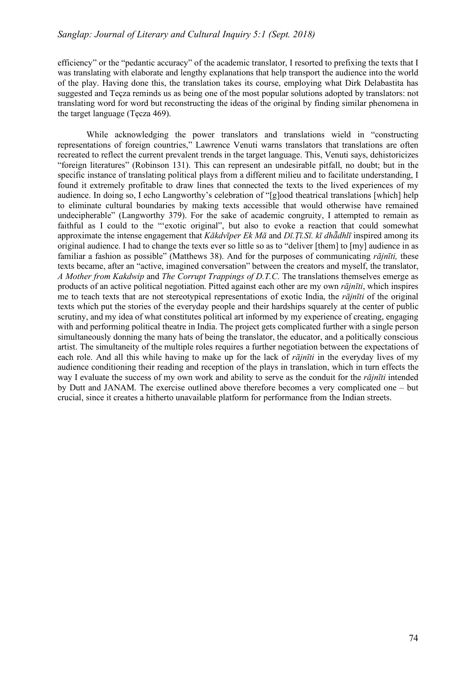efficiency" or the "pedantic accuracy" of the academic translator, I resorted to prefixing the texts that I was translating with elaborate and lengthy explanations that help transport the audience into the world of the play. Having done this, the translation takes its course, employing what Dirk Delabastita has suggested and Teçza reminds us as being one of the most popular solutions adopted by translators: not translating word for word but reconstructing the ideas of the original by finding similar phenomena in the target language (Tęcza 469).

While acknowledging the power translators and translations wield in "constructing representations of foreign countries," Lawrence Venuti warns translators that translations are often recreated to reflect the current prevalent trends in the target language. This, Venuti says, dehistoricizes "foreign literatures" (Robinson 131). This can represent an undesirable pitfall, no doubt; but in the specific instance of translating political plays from a different milieu and to facilitate understanding, I found it extremely profitable to draw lines that connected the texts to the lived experiences of my audience. In doing so, I echo Langworthy's celebration of "[g]ood theatrical translations [which] help to eliminate cultural boundaries by making texts accessible that would otherwise have remained undecipherable" (Langworthy 379). For the sake of academic congruity, I attempted to remain as faithful as I could to the "'exotic original", but also to evoke a reaction that could somewhat approximate the intense engagement that Kākdvīper Ek Mā and Dī. Tī. Sī, kī dhādhlī inspired among its original audience. I had to change the texts ever so little so as to "deliver [them] to [my] audience in as familiar a fashion as possible" (Matthews 38). And for the purposes of communicating *rājnīti,* these texts became, after an "active, imagined conversation" between the creators and myself, the translator, *A Mother from Kakdwip* and *The Corrupt Trappings of D.T.C*. The translations themselves emerge as products of an active political negotiation. Pitted against each other are my own *rājnīti*, which inspires me to teach texts that are not stereotypical representations of exotic India, the *rājnīti* of the original texts which put the stories of the everyday people and their hardships squarely at the center of public scrutiny, and my idea of what constitutes political art informed by my experience of creating, engaging with and performing political theatre in India. The project gets complicated further with a single person simultaneously donning the many hats of being the translator, the educator, and a politically conscious artist. The simultaneity of the multiple roles requires a further negotiation between the expectations of each role. And all this while having to make up for the lack of *rājnīti* in the everyday lives of my audience conditioning their reading and reception of the plays in translation, which in turn effects the way I evaluate the success of my own work and ability to serve as the conduit for the *rājnīti* intended by Dutt and JANAM. The exercise outlined above therefore becomes a very complicated one – but crucial, since it creates a hitherto unavailable platform for performance from the Indian streets.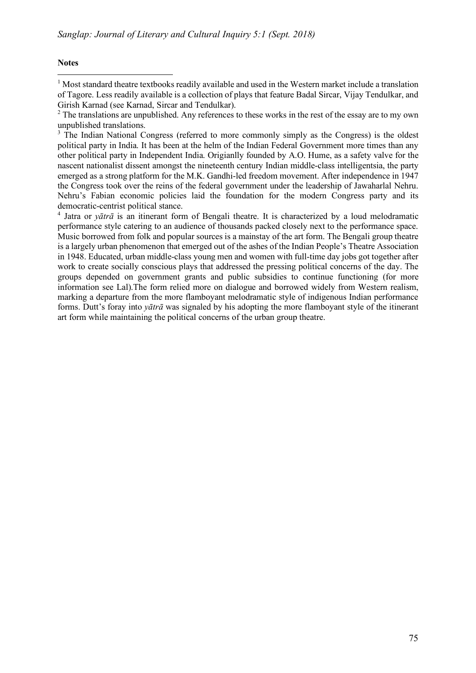#### **Notes**

 $\overline{a}$ 

 $3 \text{ The Indian National Congress (referred to more commonly simply as the Congress) is the oldest.}$ political party in India. It has been at the helm of the Indian Federal Government more times than any other political party in Independent India. Origianlly founded by A.O. Hume, as a safety valve for the nascent nationalist dissent amongst the nineteenth century Indian middle-class intelligentsia, the party emerged as a strong platform for the M.K. Gandhi-led freedom movement. After independence in 1947 the Congress took over the reins of the federal government under the leadership of Jawaharlal Nehru. Nehru's Fabian economic policies laid the foundation for the modern Congress party and its democratic-centrist political stance.

<sup>4</sup> Jatra or *yātrā* is an itinerant form of Bengali theatre. It is characterized by a loud melodramatic performance style catering to an audience of thousands packed closely next to the performance space. Music borrowed from folk and popular sources is a mainstay of the art form. The Bengali group theatre is a largely urban phenomenon that emerged out of the ashes of the Indian People's Theatre Association in 1948. Educated, urban middle-class young men and women with full-time day jobs got together after work to create socially conscious plays that addressed the pressing political concerns of the day. The groups depended on government grants and public subsidies to continue functioning (for more information see Lal).The form relied more on dialogue and borrowed widely from Western realism, marking a departure from the more flamboyant melodramatic style of indigenous Indian performance forms. Dutt's foray into *yātrā* was signaled by his adopting the more flamboyant style of the itinerant art form while maintaining the political concerns of the urban group theatre.

<sup>&</sup>lt;sup>1</sup> Most standard theatre textbooks readily available and used in the Western market include a translation of Tagore. Less readily available is a collection of plays that feature Badal Sircar, Vijay Tendulkar, and Girish Karnad (see Karnad, Sircar and Tendulkar).

<sup>&</sup>lt;sup>2</sup> The translations are unpublished. Any references to these works in the rest of the essay are to my own unpublished translations.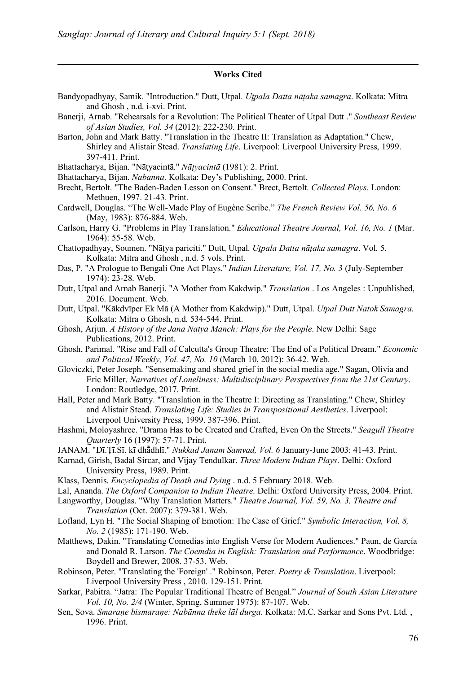#### **Works Cited**

- Bandyopadhyay, Samik. "Introduction." Dutt, Utpal. *Uṯpala Datta nāṭaka samagra*. Kolkata: Mitra and Ghosh , n.d. i-xvi. Print.
- Banerji, Arnab. "Rehearsals for a Revolution: The Political Theater of Utpal Dutt ." *Southeast Review of Asian Studies, Vol. 34* (2012): 222-230. Print.
- Barton, John and Mark Batty. "Translation in the Theatre II: Translation as Adaptation." Chew, Shirley and Alistair Stead. *Translating Life*. Liverpool: Liverpool University Press, 1999. 397-411. Print.
- Bhattacharya, Bijan. "Nāṭyacintā." *Nāṭyacintā* (1981): 2. Print.

 $\overline{a}$ 

- Bhattacharya, Bijan. *Nabanna*. Kolkata: Dey's Publishing, 2000. Print.
- Brecht, Bertolt. "The Baden-Baden Lesson on Consent." Brect, Bertolt. *Collected Plays*. London: Methuen, 1997. 21-43. Print.
- Cardwell, Douglas. "The Well-Made Play of Eugène Scribe." *The French Review Vol. 56, No. 6*  (May, 1983): 876-884. Web.
- Carlson, Harry G. "Problems in Play Translation." *Educational Theatre Journal, Vol. 16, No. 1* (Mar. 1964): 55-58. Web.
- Chattopadhyay, Soumen. "Nāṭya pariciti." Dutt, Utpal. *Uṯpala Datta nāṭaka samagra*. Vol. 5. Kolkata: Mitra and Ghosh , n.d. 5 vols. Print.
- Das, P. "A Prologue to Bengali One Act Plays." *Indian Literature, Vol. 17, No. 3* (July-September 1974): 23-28. Web.
- Dutt, Utpal and Arnab Banerji. "A Mother from Kakdwip." *Translation* . Los Angeles : Unpublished, 2016. Document. Web.
- Dutt, Utpal. "Kākdvīper Ek Mā (A Mother from Kakdwip)." Dutt, Utpal. *Utpal Dutt Natok Samagra*. Kolkata: Mitra o Ghosh, n.d. 534-544. Print.
- Ghosh, Arjun. *A History of the Jana Natya Manch: Plays for the People*. New Delhi: Sage Publications, 2012. Print.
- Ghosh, Parimal. "Rise and Fall of Calcutta's Group Theatre: The End of a Political Dream." *Economic and Political Weekly, Vol. 47, No. 10* (March 10, 2012): 36-42. Web.
- Gloviczki, Peter Joseph. "Sensemaking and shared grief in the social media age." Sagan, Olivia and Eric Miller. *Narratives of Loneliness: Multidisciplinary Perspectives from the 21st Century*. London: Routledge, 2017. Print.
- Hall, Peter and Mark Batty. "Translation in the Theatre I: Directing as Translating." Chew, Shirley and Alistair Stead. *Translating Life: Studies in Transpositional Aesthetics*. Liverpool: Liverpool University Press, 1999. 387-396. Print.
- Hashmi, Moloyashree. "Drama Has to be Created and Crafted, Even On the Streets." *Seagull Theatre Quarterly* 16 (1997): 57-71. Print.
- JANAM. "Dī.Ṭī.Sī. kī dhā̃dhlī." *Nukkad Janam Samvad, Vol. 6* January-June 2003: 41-43. Print.
- Karnad, Girish, Badal Sircar, and Vijay Tendulkar. *Three Modern Indian Plays*. Delhi: Oxford University Press, 1989. Print.
- Klass, Dennis. *Encyclopedia of Death and Dying* . n.d. 5 February 2018. Web.
- Lal, Ananda. *The Oxford Companion to Indian Theatre*. Delhi: Oxford University Press, 2004. Print.
- Langworthy, Douglas. "Why Translation Matters." *Theatre Journal, Vol. 59, No. 3, Theatre and Translation* (Oct. 2007): 379-381. Web.
- Lofland, Lyn H. "The Social Shaping of Emotion: The Case of Grief." *Symbolic Interaction, Vol. 8, No. 2* (1985): 171-190. Web.
- Matthews, Dakin. "Translating Comedias into English Verse for Modern Audiences." Paun, de García and Donald R. Larson. *The Coemdia in English: Translation and Performance*. Woodbridge: Boydell and Brewer, 2008. 37-53. Web.
- Robinson, Peter. "Translating the 'Foreign' ." Robinson, Peter. *Poetry & Translation*. Liverpool: Liverpool University Press , 2010. 129-151. Print.
- Sarkar, Pabitra. "Jatra: The Popular Traditional Theatre of Bengal." *Journal of South Asian Literature Vol. 10, No. 2/4* (Winter, Spring, Summer 1975): 87-107. Web.
- Sen, Sova. *Smaraṇe bismaraṇe: Nabānna theke lāl durga*. Kolkata: M.C. Sarkar and Sons Pvt. Ltd. , 1996. Print.